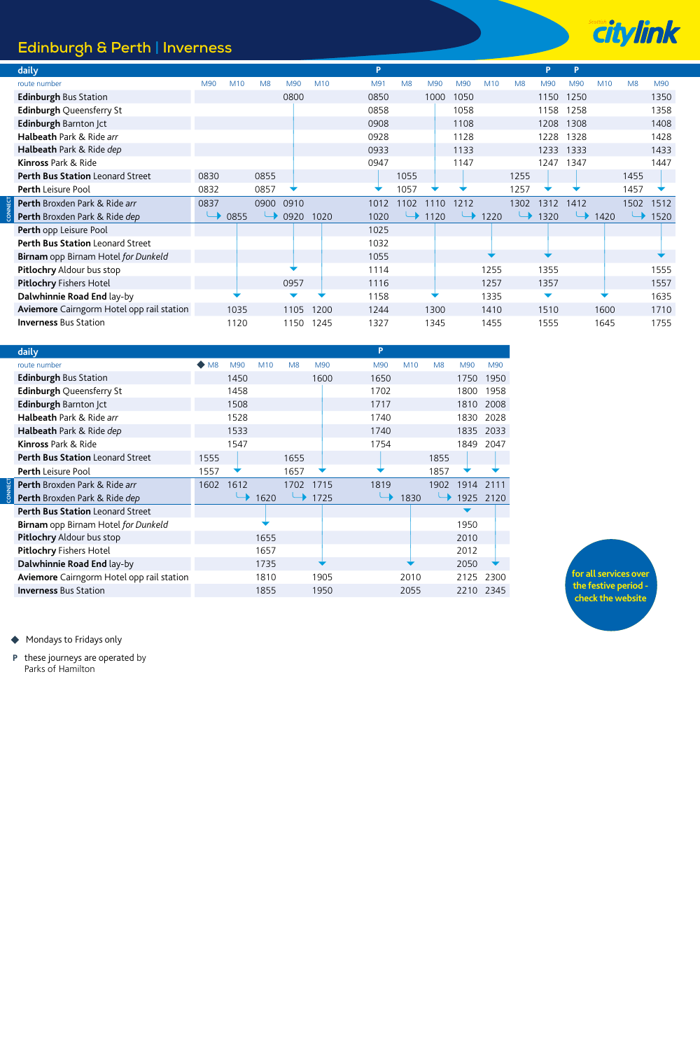## **Edinburgh & Perth | Inverness**



| daily                                     |      |      |                |      |                 | P    |                |      |      |      |                | P    | P    |      |                |      |
|-------------------------------------------|------|------|----------------|------|-----------------|------|----------------|------|------|------|----------------|------|------|------|----------------|------|
| route number                              | M90  | M10  | M <sub>8</sub> | M90  | M <sub>10</sub> | M91  | M <sub>8</sub> | M90  | M90  | M10  | M <sub>8</sub> | M90  | M90  | M10  | M <sub>8</sub> | M90  |
| <b>Edinburgh Bus Station</b>              |      |      |                | 0800 |                 | 0850 |                | 1000 | 1050 |      |                | 1150 | 1250 |      |                | 1350 |
| <b>Edinburgh Queensferry St</b>           |      |      |                |      |                 | 0858 |                |      | 1058 |      |                | 1158 | 1258 |      |                | 1358 |
| Edinburgh Barnton  ct                     |      |      |                |      |                 | 0908 |                |      | 1108 |      |                | 1208 | 1308 |      |                | 1408 |
| Halbeath Park & Ride arr                  |      |      |                |      |                 | 0928 |                |      | 1128 |      |                | 1228 | 1328 |      |                | 1428 |
| Halbeath Park & Ride dep                  |      |      |                |      |                 | 0933 |                |      | 1133 |      |                | 1233 | 1333 |      |                | 1433 |
| Kinross Park & Ride                       |      |      |                |      |                 | 0947 |                |      | 1147 |      |                | 1247 | 1347 |      |                | 1447 |
| <b>Perth Bus Station Leonard Street</b>   | 0830 |      | 0855           |      |                 |      | 1055           |      |      |      | 1255           |      |      |      | 1455           |      |
| <b>Perth</b> Leisure Pool                 | 0832 |      | 0857           | ▼    |                 |      | 1057           |      |      |      | 1257           |      |      |      | 1457           |      |
| Perth Broxden Park & Ride arr             | 0837 |      | 0900           | 0910 |                 | 1012 | 1102           | 1110 | 1212 |      | 1302           | 1312 | 1412 |      | 1502           | 1512 |
| Perth Broxden Park & Ride dep             |      | 0855 |                | 0920 | 1020            | 1020 |                | 1120 |      | 1220 |                | 1320 |      | 1420 |                | 1520 |
| Perth opp Leisure Pool                    |      |      |                |      |                 | 1025 |                |      |      |      |                |      |      |      |                |      |
| Perth Bus Station Leonard Street          |      |      |                |      |                 | 1032 |                |      |      |      |                |      |      |      |                |      |
| Birnam opp Birnam Hotel for Dunkeld       |      |      |                |      |                 | 1055 |                |      |      |      |                |      |      |      |                |      |
| <b>Pitlochry Aldour bus stop</b>          |      |      |                |      |                 | 1114 |                |      |      | 1255 |                | 1355 |      |      |                | 1555 |
| <b>Pitlochry Fishers Hotel</b>            |      |      |                | 0957 |                 | 1116 |                |      |      | 1257 |                | 1357 |      |      |                | 1557 |
| Dalwhinnie Road End lay-by                |      |      |                |      |                 | 1158 |                |      |      | 1335 |                | ▼    |      |      |                | 1635 |
| Aviemore Cairngorm Hotel opp rail station |      | 1035 |                | 1105 | 1200            | 1244 |                | 1300 |      | 1410 |                | 1510 |      | 1600 |                | 1710 |
| <b>Inverness Bus Station</b>              |      | 1120 |                | 1150 | 1245            | 1327 |                | 1345 |      | 1455 |                | 1555 |      | 1645 |                | 1755 |

| daily                                      |      |      |      |      |      | P    |      |                |           |      |
|--------------------------------------------|------|------|------|------|------|------|------|----------------|-----------|------|
| route number                               | M8   | M90  | M10  | M8   | M90  | M90  | M10  | M <sub>8</sub> | M90       | M90  |
| <b>Edinburgh Bus Station</b>               |      | 1450 |      |      | 1600 | 1650 |      |                | 1750 1950 |      |
| <b>Edinburgh Queensferry St</b>            |      | 1458 |      |      |      | 1702 |      |                | 1800      | 1958 |
| <b>Edinburgh Barnton Jct</b>               |      | 1508 |      |      |      | 1717 |      |                | 1810      | 2008 |
| Halbeath Park & Ride arr                   |      | 1528 |      |      |      | 1740 |      |                | 1830      | 2028 |
| Halbeath Park & Ride dep                   |      | 1533 |      |      |      | 1740 |      |                | 1835      | 2033 |
| <b>Kinross Park &amp; Ride</b>             |      | 1547 |      |      |      | 1754 |      |                | 1849      | 2047 |
| Perth Bus Station Leonard Street           | 1555 |      |      | 1655 |      |      |      | 1855           |           |      |
| <b>Perth</b> Leisure Pool                  | 1557 |      |      | 1657 |      |      |      | 1857           |           |      |
| Perth Broxden Park & Ride arr              | 1602 | 1612 |      | 1702 | 1715 | 1819 |      | 1902           | 1914      | 2111 |
| Perth Broxden Park & Ride dep              |      |      | 1620 |      | 1725 |      | 1830 |                | 1925      | 2120 |
| Perth Bus Station Leonard Street           |      |      |      |      |      |      |      |                |           |      |
| <b>Birnam</b> opp Birnam Hotel for Dunkeld |      |      |      |      |      |      |      |                | 1950      |      |
| Pitlochry Aldour bus stop                  |      |      | 1655 |      |      |      |      |                | 2010      |      |
| Pitlochry Fishers Hotel                    |      |      | 1657 |      |      |      |      |                | 2012      |      |
| Dalwhinnie Road End lay-by                 |      |      | 1735 |      |      |      |      |                | 2050      |      |
| Aviemore Cairngorm Hotel opp rail station  |      |      | 1810 |      | 1905 |      | 2010 |                | 2125      | 2300 |
| <b>Inverness</b> Bus Station               |      |      | 1855 |      | 1950 |      | 2055 |                | 2210      | 2345 |
|                                            |      |      |      |      |      |      |      |                |           |      |



◆ Mondays to Fridays only

**CONNECT**

**CONNECT**

these journeys are operated by Parks of Hamilton **P**